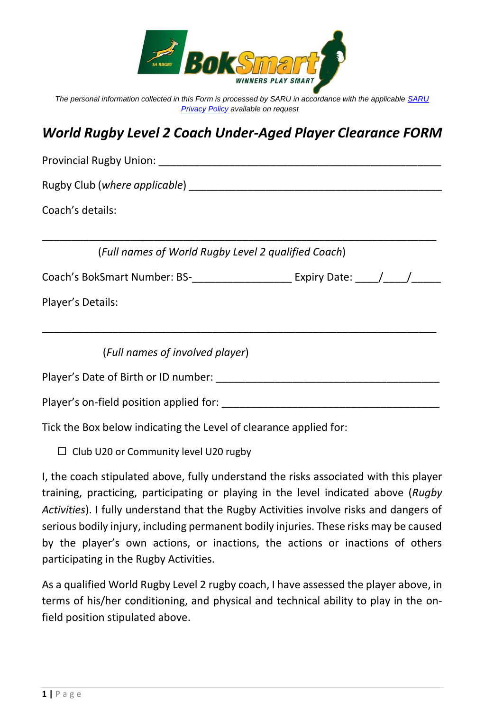

*The personal information collected in this Form is processed by SARU in accordance with the applicable [SARU](https://www.springboks.rugby/general/privacy-policy-updated-2021/)  [Privacy Policy](https://www.springboks.rugby/general/privacy-policy-updated-2021/) available on request*

## *World Rugby Level 2 Coach Under-Aged Player Clearance FORM*

| Provincial Rugby Union: National Accounts and Accounts and Accounts and Accounts and Accounts and Accounts and |  |
|----------------------------------------------------------------------------------------------------------------|--|
| Rugby Club (where applicable) example a material control of the Rugby Club (where applicable)                  |  |
| Coach's details:                                                                                               |  |
| (Full names of World Rugby Level 2 qualified Coach)                                                            |  |
|                                                                                                                |  |
| Player's Details:                                                                                              |  |
|                                                                                                                |  |
| (Full names of involved player)                                                                                |  |
| Player's Date of Birth or ID number:                                                                           |  |
| Player's on-field position applied for:                                                                        |  |

Tick the Box below indicating the Level of clearance applied for:

 $\Box$  Club U20 or Community level U20 rugby

I, the coach stipulated above, fully understand the risks associated with this player training, practicing, participating or playing in the level indicated above (*Rugby Activities*). I fully understand that the Rugby Activities involve risks and dangers of serious bodily injury, including permanent bodily injuries. These risks may be caused by the player's own actions, or inactions, the actions or inactions of others participating in the Rugby Activities.

As a qualified World Rugby Level 2 rugby coach, I have assessed the player above, in terms of his/her conditioning, and physical and technical ability to play in the onfield position stipulated above.